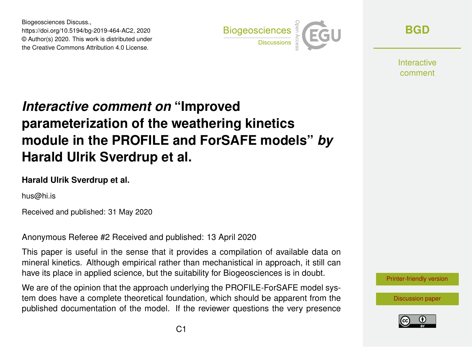Biogeosciences Discuss., https://doi.org/10.5194/bg-2019-464-AC2, 2020 © Author(s) 2020. This work is distributed under the Creative Commons Attribution 4.0 License.



**[BGD](https://www.biogeosciences-discuss.net/)**

**Interactive** comment

## *Interactive comment on* **"Improved parameterization of the weathering kinetics module in the PROFILE and ForSAFE models"** *by* **Harald Ulrik Sverdrup et al.**

## **Harald Ulrik Sverdrup et al.**

hus@hi.is

Received and published: 31 May 2020

Anonymous Referee #2 Received and published: 13 April 2020

This paper is useful in the sense that it provides a compilation of available data on mineral kinetics. Although empirical rather than mechanistical in approach, it still can have its place in applied science, but the suitability for Biogeosciences is in doubt.

We are of the opinion that the approach underlying the PROFILE-ForSAFE model system does have a complete theoretical foundation, which should be apparent from the published documentation of the model. If the reviewer questions the very presence



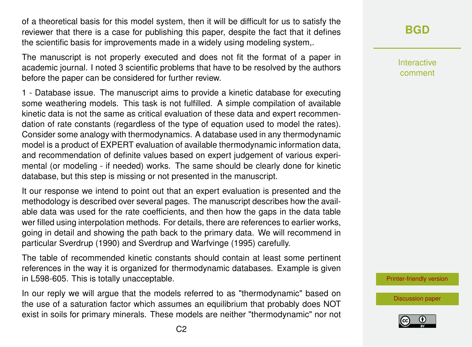of a theoretical basis for this model system, then it will be difficult for us to satisfy the reviewer that there is a case for publishing this paper, despite the fact that it defines the scientific basis for improvements made in a widely using modeling system,.

The manuscript is not properly executed and does not fit the format of a paper in academic journal. I noted 3 scientific problems that have to be resolved by the authors before the paper can be considered for further review.

1 - Database issue. The manuscript aims to provide a kinetic database for executing some weathering models. This task is not fulfilled. A simple compilation of available kinetic data is not the same as critical evaluation of these data and expert recommendation of rate constants (regardless of the type of equation used to model the rates). Consider some analogy with thermodynamics. A database used in any thermodynamic model is a product of EXPERT evaluation of available thermodynamic information data, and recommendation of definite values based on expert judgement of various experimental (or modeling - if needed) works. The same should be clearly done for kinetic database, but this step is missing or not presented in the manuscript.

It our response we intend to point out that an expert evaluation is presented and the methodology is described over several pages. The manuscript describes how the available data was used for the rate coefficients, and then how the gaps in the data table wer filled using interpolation methods. For details, there are references to earlier works, going in detail and showing the path back to the primary data. We will recommend in particular Sverdrup (1990) and Sverdrup and Warfvinge (1995) carefully.

The table of recommended kinetic constants should contain at least some pertinent references in the way it is organized for thermodynamic databases. Example is given in L598-605. This is totally unacceptable.

In our reply we will argue that the models referred to as "thermodynamic" based on the use of a saturation factor which assumes an equilibrium that probably does NOT exist in soils for primary minerals. These models are neither "thermodynamic" nor not Interactive comment

[Printer-friendly version](https://www.biogeosciences-discuss.net/bg-2019-464/bg-2019-464-AC2-print.pdf)

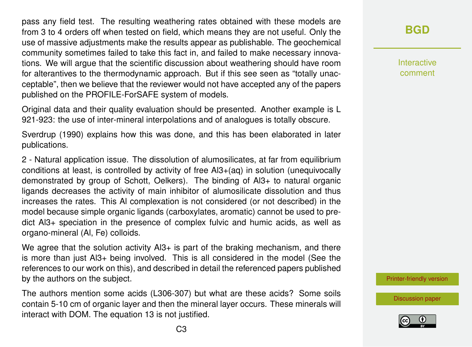pass any field test. The resulting weathering rates obtained with these models are from 3 to 4 orders off when tested on field, which means they are not useful. Only the use of massive adjustments make the results appear as publishable. The geochemical community sometimes failed to take this fact in, and failed to make necessary innovations. We will argue that the scientific discussion about weathering should have room for alterantives to the thermodynamic approach. But if this see seen as "totally unacceptable", then we believe that the reviewer would not have accepted any of the papers published on the PROFILE-ForSAFE system of models.

Original data and their quality evaluation should be presented. Another example is L 921-923: the use of inter-mineral interpolations and of analogues is totally obscure.

Sverdrup (1990) explains how this was done, and this has been elaborated in later publications.

2 - Natural application issue. The dissolution of alumosilicates, at far from equilibrium conditions at least, is controlled by activity of free Al3+(aq) in solution (unequivocally demonstrated by group of Schott, Oelkers). The binding of Al3+ to natural organic ligands decreases the activity of main inhibitor of alumosilicate dissolution and thus increases the rates. This Al complexation is not considered (or not described) in the model because simple organic ligands (carboxylates, aromatic) cannot be used to predict Al3+ speciation in the presence of complex fulvic and humic acids, as well as organo-mineral (Al, Fe) colloids.

We agree that the solution activity  $A13+$  is part of the braking mechanism, and there is more than just Al3+ being involved. This is all considered in the model (See the references to our work on this), and described in detail the referenced papers published by the authors on the subject.

The authors mention some acids (L306-307) but what are these acids? Some soils contain 5-10 cm of organic layer and then the mineral layer occurs. These minerals will interact with DOM. The equation 13 is not justified.

**[BGD](https://www.biogeosciences-discuss.net/)**

Interactive comment

[Printer-friendly version](https://www.biogeosciences-discuss.net/bg-2019-464/bg-2019-464-AC2-print.pdf)

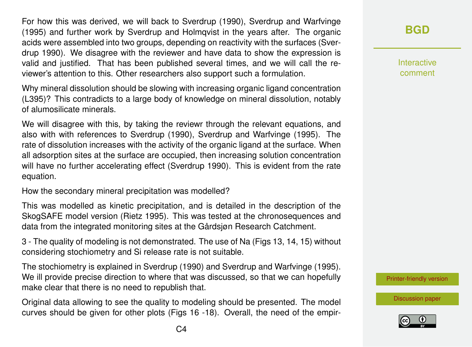For how this was derived, we will back to Sverdrup (1990), Sverdrup and Warfvinge (1995) and further work by Sverdrup and Holmqvist in the years after. The organic acids were assembled into two groups, depending on reactivity with the surfaces (Sverdrup 1990). We disagree with the reviewer and have data to show the expression is valid and justified. That has been published several times, and we will call the reviewer's attention to this. Other researchers also support such a formulation.

Why mineral dissolution should be slowing with increasing organic ligand concentration (L395)? This contradicts to a large body of knowledge on mineral dissolution, notably of alumosilicate minerals.

We will disagree with this, by taking the reviewr through the relevant equations, and also with with references to Sverdrup (1990), Sverdrup and Warfvinge (1995). The rate of dissolution increases with the activity of the organic ligand at the surface. When all adsorption sites at the surface are occupied, then increasing solution concentration will have no further accelerating effect (Sverdrup 1990). This is evident from the rate equation.

How the secondary mineral precipitation was modelled?

This was modelled as kinetic precipitation, and is detailed in the description of the SkogSAFE model version (Rietz 1995). This was tested at the chronosequences and data from the integrated monitoring sites at the Gårdsjøn Research Catchment.

3 - The quality of modeling is not demonstrated. The use of Na (Figs 13, 14, 15) without considering stochiometry and Si release rate is not suitable.

The stochiometry is explained in Sverdrup (1990) and Sverdrup and Warfvinge (1995). We ill provide precise direction to where that was discussed, so that we can hopefully make clear that there is no need to republish that.

Original data allowing to see the quality to modeling should be presented. The model curves should be given for other plots (Figs 16 -18). Overall, the need of the empir**[BGD](https://www.biogeosciences-discuss.net/)**

Interactive comment

[Printer-friendly version](https://www.biogeosciences-discuss.net/bg-2019-464/bg-2019-464-AC2-print.pdf)